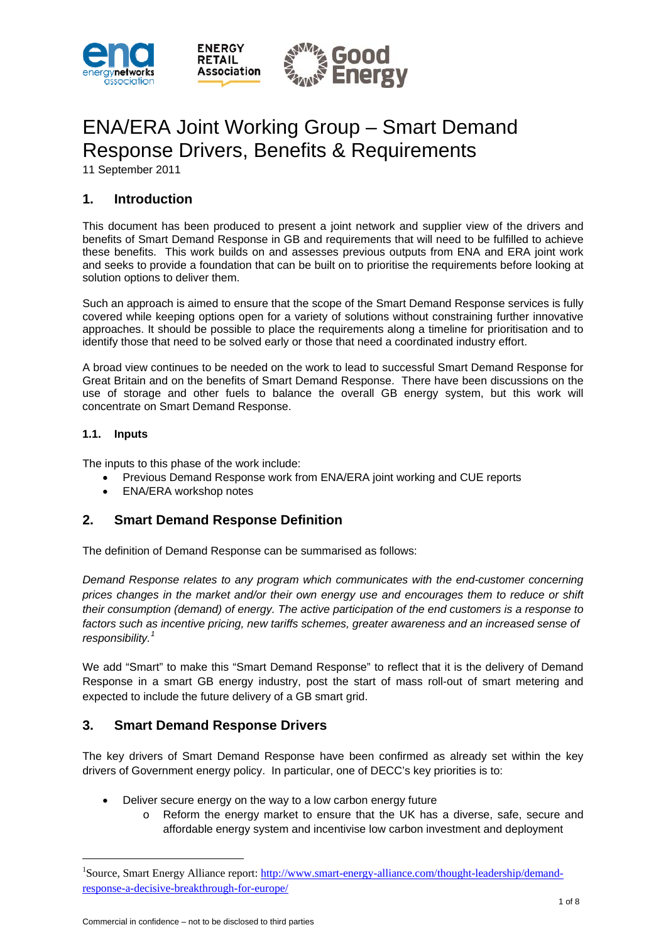

# ENA/ERA Joint Working Group – Smart Demand Response Drivers, Benefits & Requirements

11 September 2011

# **1. Introduction**

This document has been produced to present a joint network and supplier view of the drivers and benefits of Smart Demand Response in GB and requirements that will need to be fulfilled to achieve these benefits. This work builds on and assesses previous outputs from ENA and ERA joint work and seeks to provide a foundation that can be built on to prioritise the requirements before looking at solution options to deliver them.

Such an approach is aimed to ensure that the scope of the Smart Demand Response services is fully covered while keeping options open for a variety of solutions without constraining further innovative approaches. It should be possible to place the requirements along a timeline for prioritisation and to identify those that need to be solved early or those that need a coordinated industry effort.

A broad view continues to be needed on the work to lead to successful Smart Demand Response for Great Britain and on the benefits of Smart Demand Response. There have been discussions on the use of storage and other fuels to balance the overall GB energy system, but this work will concentrate on Smart Demand Response.

## **1.1. Inputs**

 $\overline{a}$ 

The inputs to this phase of the work include:

- Previous Demand Response work from ENA/ERA joint working and CUE reports
- ENA/ERA workshop notes

# **2. Smart Demand Response Definition**

The definition of Demand Response can be summarised as follows:

*Demand Response relates to any program which communicates with the end-customer concerning prices changes in the market and/or their own energy use and encourages them to reduce or shift their consumption (demand) of energy. The active participation of the end customers is a response to factors such as incentive pricing, new tariffs schemes, greater awareness and an increased sense of responsibility.[1](#page-0-0)* 

We add "Smart" to make this "Smart Demand Response" to reflect that it is the delivery of Demand Response in a smart GB energy industry, post the start of mass roll-out of smart metering and expected to include the future delivery of a GB smart grid.

## **3. Smart Demand Response Drivers**

The key drivers of Smart Demand Response have been confirmed as already set within the key drivers of Government energy policy. In particular, one of DECC's key priorities is to:

- Deliver secure energy on the way to a low carbon energy future
	- o Reform the energy market to ensure that the UK has a diverse, safe, secure and affordable energy system and incentivise low carbon investment and deployment

<span id="page-0-0"></span><sup>&</sup>lt;sup>1</sup>Source, Smart Energy Alliance report: [http://www.smart-energy-alliance.com/thought-leadership/demand](http://www.smart-energy-alliance.com/thought-leadership/demand-response-a-decisive-breakthrough-for-europe/)[response-a-decisive-breakthrough-for-europe/](http://www.smart-energy-alliance.com/thought-leadership/demand-response-a-decisive-breakthrough-for-europe/)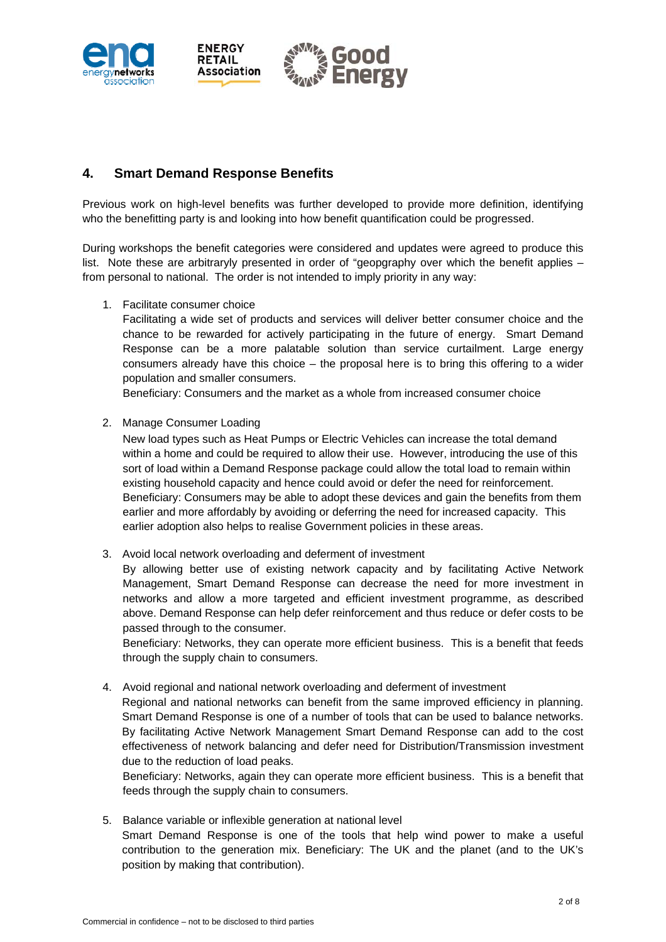

# **4. Smart Demand Response Benefits**

Previous work on high-level benefits was further developed to provide more definition, identifying who the benefitting party is and looking into how benefit quantification could be progressed.

During workshops the benefit categories were considered and updates were agreed to produce this list. Note these are arbitraryly presented in order of "geopgraphy over which the benefit applies – from personal to national. The order is not intended to imply priority in any way:

1. Facilitate consumer choice

Facilitating a wide set of products and services will deliver better consumer choice and the chance to be rewarded for actively participating in the future of energy. Smart Demand Response can be a more palatable solution than service curtailment. Large energy consumers already have this choice – the proposal here is to bring this offering to a wider population and smaller consumers.

Beneficiary: Consumers and the market as a whole from increased consumer choice

2. Manage Consumer Loading

New load types such as Heat Pumps or Electric Vehicles can increase the total demand within a home and could be required to allow their use. However, introducing the use of this sort of load within a Demand Response package could allow the total load to remain within existing household capacity and hence could avoid or defer the need for reinforcement. Beneficiary: Consumers may be able to adopt these devices and gain the benefits from them earlier and more affordably by avoiding or deferring the need for increased capacity. This earlier adoption also helps to realise Government policies in these areas.

3. Avoid local network overloading and deferment of investment

By allowing better use of existing network capacity and by facilitating Active Network Management, Smart Demand Response can decrease the need for more investment in networks and allow a more targeted and efficient investment programme, as described above. Demand Response can help defer reinforcement and thus reduce or defer costs to be passed through to the consumer.

Beneficiary: Networks, they can operate more efficient business. This is a benefit that feeds through the supply chain to consumers.

4. Avoid regional and national network overloading and deferment of investment Regional and national networks can benefit from the same improved efficiency in planning. Smart Demand Response is one of a number of tools that can be used to balance networks. By facilitating Active Network Management Smart Demand Response can add to the cost effectiveness of network balancing and defer need for Distribution/Transmission investment

due to the reduction of load peaks. Beneficiary: Networks, again they can operate more efficient business. This is a benefit that feeds through the supply chain to consumers.

5. Balance variable or inflexible generation at national level Smart Demand Response is one of the tools that help wind power to make a useful contribution to the generation mix. Beneficiary: The UK and the planet (and to the UK's position by making that contribution).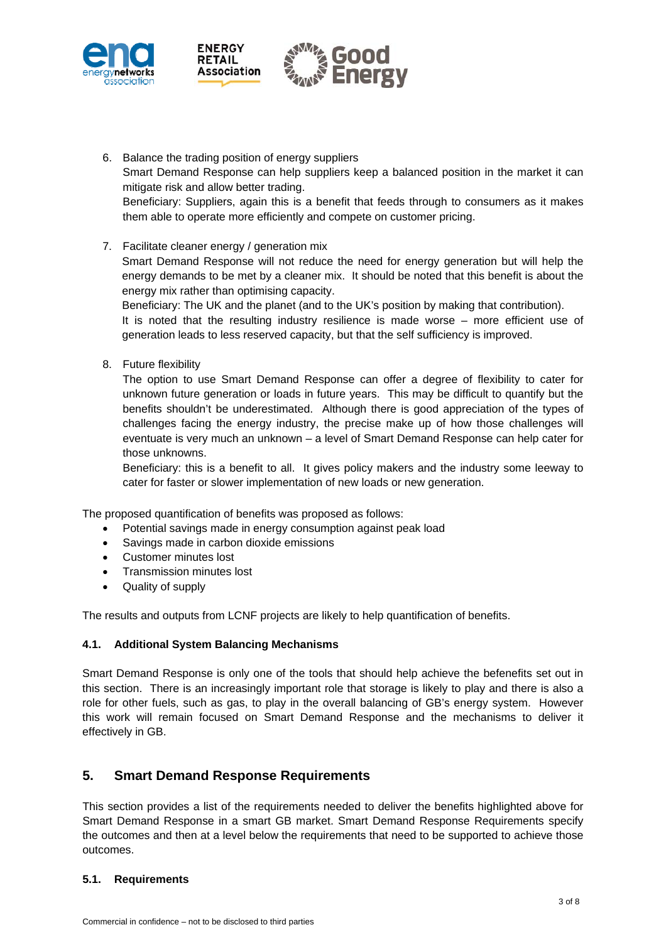



7. Facilitate cleaner energy / generation mix

**ENERGY RETAIL** Association

Smart Demand Response will not reduce the need for energy generation but will help the energy demands to be met by a cleaner mix. It should be noted that this benefit is about the energy mix rather than optimising capacity.

Beneficiary: The UK and the planet (and to the UK's position by making that contribution). It is noted that the resulting industry resilience is made worse – more efficient use of generation leads to less reserved capacity, but that the self sufficiency is improved.

8. Future flexibility

The option to use Smart Demand Response can offer a degree of flexibility to cater for unknown future generation or loads in future years. This may be difficult to quantify but the benefits shouldn't be underestimated. Although there is good appreciation of the types of challenges facing the energy industry, the precise make up of how those challenges will eventuate is very much an unknown – a level of Smart Demand Response can help cater for those unknowns.

Beneficiary: this is a benefit to all. It gives policy makers and the industry some leeway to cater for faster or slower implementation of new loads or new generation.

The proposed quantification of benefits was proposed as follows:

- Potential savings made in energy consumption against peak load
- Savings made in carbon dioxide emissions
- Customer minutes lost
- Transmission minutes lost
- Quality of supply

The results and outputs from LCNF projects are likely to help quantification of benefits.

#### **4.1. Additional System Balancing Mechanisms**

Smart Demand Response is only one of the tools that should help achieve the befenefits set out in this section. There is an increasingly important role that storage is likely to play and there is also a role for other fuels, such as gas, to play in the overall balancing of GB's energy system. However this work will remain focused on Smart Demand Response and the mechanisms to deliver it effectively in GB.

## **5. Smart Demand Response Requirements**

This section provides a list of the requirements needed to deliver the benefits highlighted above for Smart Demand Response in a smart GB market. Smart Demand Response Requirements specify the outcomes and then at a level below the requirements that need to be supported to achieve those outcomes.

#### **5.1. Requirements**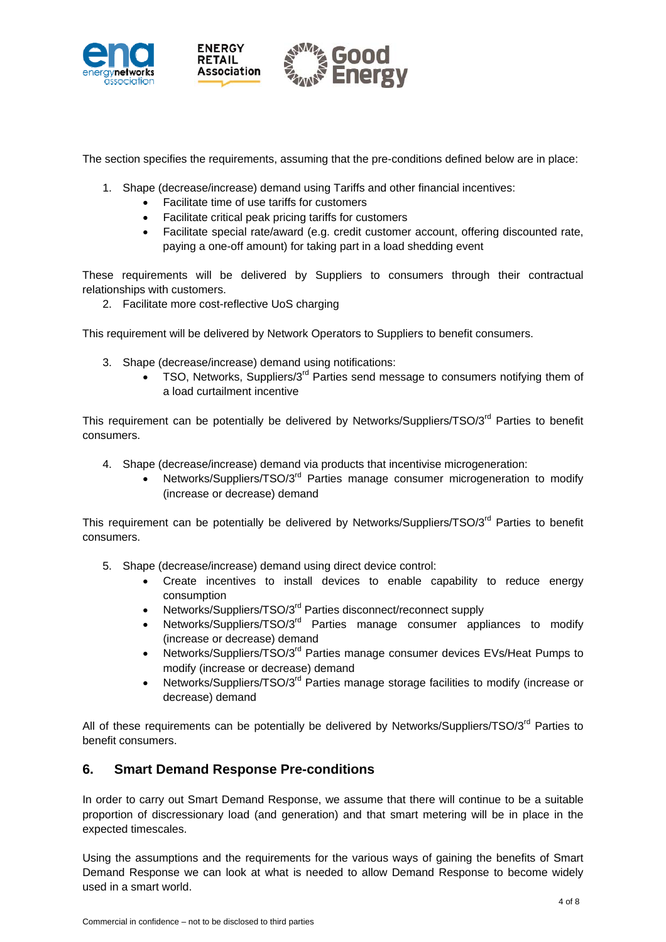

The section specifies the requirements, assuming that the pre-conditions defined below are in place:

- 1. Shape (decrease/increase) demand using Tariffs and other financial incentives:
	- Facilitate time of use tariffs for customers
	- Facilitate critical peak pricing tariffs for customers
	- Facilitate special rate/award (e.g. credit customer account, offering discounted rate, paying a one-off amount) for taking part in a load shedding event

These requirements will be delivered by Suppliers to consumers through their contractual relationships with customers.

2. Facilitate more cost-reflective UoS charging

This requirement will be delivered by Network Operators to Suppliers to benefit consumers.

- 3. Shape (decrease/increase) demand using notifications:
	- TSO, Networks, Suppliers/3<sup>rd</sup> Parties send message to consumers notifving them of a load curtailment incentive

This requirement can be potentially be delivered by Networks/Suppliers/TSO/3<sup>rd</sup> Parties to benefit consumers.

- 4. Shape (decrease/increase) demand via products that incentivise microgeneration:
	- Networks/Suppliers/TSO/3<sup>rd</sup> Parties manage consumer microgeneration to modify (increase or decrease) demand

This requirement can be potentially be delivered by Networks/Suppliers/TSO/3<sup>rd</sup> Parties to benefit consumers.

- 5. Shape (decrease/increase) demand using direct device control:
	- Create incentives to install devices to enable capability to reduce energy consumption
	- Networks/Suppliers/TSO/3<sup>rd</sup> Parties disconnect/reconnect supply
	- Networks/Suppliers/TSO/3<sup>rd</sup> Parties manage consumer appliances to modify (increase or decrease) demand
	- Networks/Suppliers/TSO/3<sup>rd</sup> Parties manage consumer devices EVs/Heat Pumps to modify (increase or decrease) demand
	- Networks/Suppliers/TSO/3<sup>rd</sup> Parties manage storage facilities to modify (increase or decrease) demand

All of these requirements can be potentially be delivered by Networks/Suppliers/TSO/3<sup>rd</sup> Parties to benefit consumers.

## **6. Smart Demand Response Pre-conditions**

In order to carry out Smart Demand Response, we assume that there will continue to be a suitable proportion of discressionary load (and generation) and that smart metering will be in place in the expected timescales.

Using the assumptions and the requirements for the various ways of gaining the benefits of Smart Demand Response we can look at what is needed to allow Demand Response to become widely used in a smart world.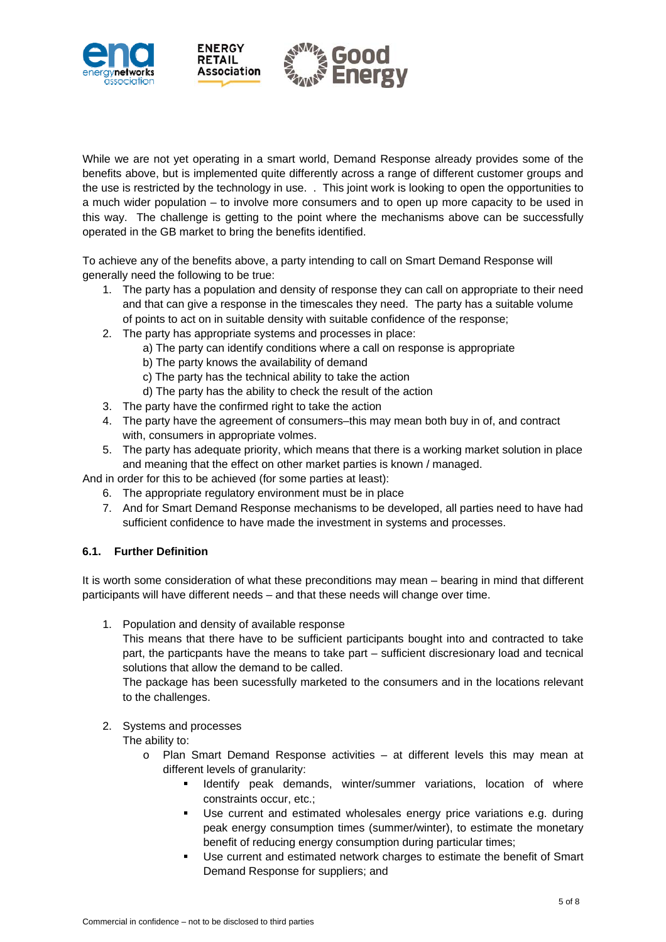

While we are not yet operating in a smart world, Demand Response already provides some of the benefits above, but is implemented quite differently across a range of different customer groups and the use is restricted by the technology in use. . This joint work is looking to open the opportunities to a much wider population – to involve more consumers and to open up more capacity to be used in this way. The challenge is getting to the point where the mechanisms above can be successfully operated in the GB market to bring the benefits identified.

To achieve any of the benefits above, a party intending to call on Smart Demand Response will generally need the following to be true:

- 1. The party has a population and density of response they can call on appropriate to their need and that can give a response in the timescales they need. The party has a suitable volume of points to act on in suitable density with suitable confidence of the response;
- 2. The party has appropriate systems and processes in place:
	- a) The party can identify conditions where a call on response is appropriate
	- b) The party knows the availability of demand
	- c) The party has the technical ability to take the action
	- d) The party has the ability to check the result of the action
- 3. The party have the confirmed right to take the action
- 4. The party have the agreement of consumers–this may mean both buy in of, and contract with, consumers in appropriate volmes.
- 5. The party has adequate priority, which means that there is a working market solution in place and meaning that the effect on other market parties is known / managed.

And in order for this to be achieved (for some parties at least):

- 6. The appropriate regulatory environment must be in place
- 7. And for Smart Demand Response mechanisms to be developed, all parties need to have had sufficient confidence to have made the investment in systems and processes.

#### **6.1. Further Definition**

It is worth some consideration of what these preconditions may mean – bearing in mind that different participants will have different needs – and that these needs will change over time.

1. Population and density of available response

This means that there have to be sufficient participants bought into and contracted to take part, the particpants have the means to take part – sufficient discresionary load and tecnical solutions that allow the demand to be called.

The package has been sucessfully marketed to the consumers and in the locations relevant to the challenges.

#### 2. Systems and processes

The ability to:

- o Plan Smart Demand Response activities at different levels this may mean at different levels of granularity:
	- **I** Identify peak demands, winter/summer variations, location of where constraints occur, etc.;
	- Use current and estimated wholesales energy price variations e.g. during peak energy consumption times (summer/winter), to estimate the monetary benefit of reducing energy consumption during particular times;
	- Use current and estimated network charges to estimate the benefit of Smart Demand Response for suppliers; and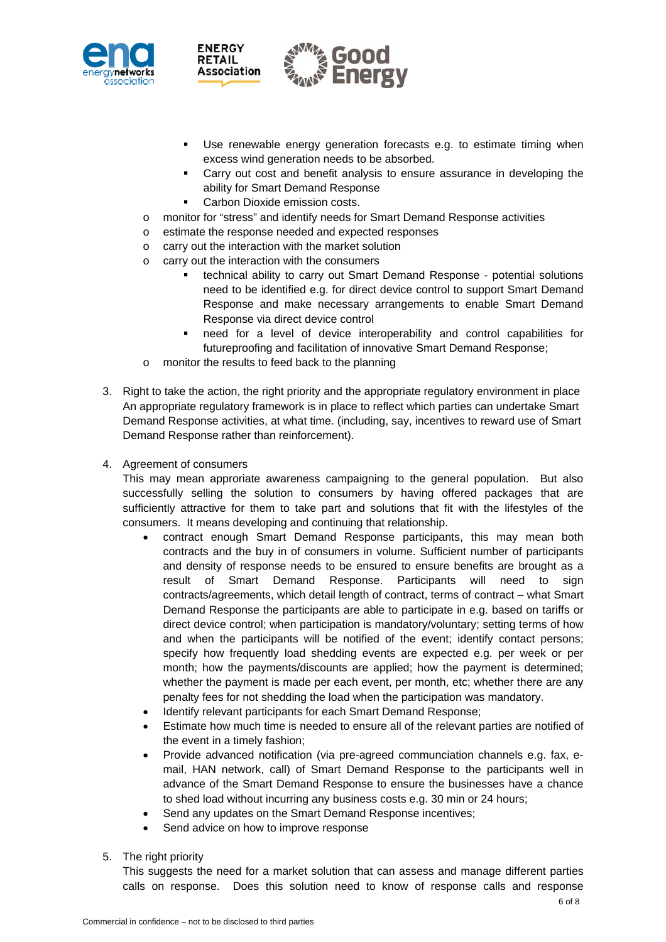



- Use renewable energy generation forecasts e.g. to estimate timing when excess wind generation needs to be absorbed.
- Carry out cost and benefit analysis to ensure assurance in developing the ability for Smart Demand Response
- Carbon Dioxide emission costs.
- o monitor for "stress" and identify needs for Smart Demand Response activities
- o estimate the response needed and expected responses
- o carry out the interaction with the market solution
- o carry out the interaction with the consumers
	- technical ability to carry out Smart Demand Response potential solutions need to be identified e.g. for direct device control to support Smart Demand Response and make necessary arrangements to enable Smart Demand Response via direct device control
	- need for a level of device interoperability and control capabilities for futureproofing and facilitation of innovative Smart Demand Response;
- o monitor the results to feed back to the planning
- 3. Right to take the action, the right priority and the appropriate regulatory environment in place An appropriate regulatory framework is in place to reflect which parties can undertake Smart Demand Response activities, at what time. (including, say, incentives to reward use of Smart Demand Response rather than reinforcement).
- 4. Agreement of consumers

This may mean approriate awareness campaigning to the general population. But also successfully selling the solution to consumers by having offered packages that are sufficiently attractive for them to take part and solutions that fit with the lifestyles of the consumers. It means developing and continuing that relationship.

- contract enough Smart Demand Response participants, this may mean both contracts and the buy in of consumers in volume. Sufficient number of participants and density of response needs to be ensured to ensure benefits are brought as a result of Smart Demand Response. Participants will need to sign contracts/agreements, which detail length of contract, terms of contract – what Smart Demand Response the participants are able to participate in e.g. based on tariffs or direct device control; when participation is mandatory/voluntary; setting terms of how and when the participants will be notified of the event; identify contact persons; specify how frequently load shedding events are expected e.g. per week or per month; how the payments/discounts are applied; how the payment is determined; whether the payment is made per each event, per month, etc; whether there are any penalty fees for not shedding the load when the participation was mandatory.
- Identify relevant participants for each Smart Demand Response;
- Estimate how much time is needed to ensure all of the relevant parties are notified of the event in a timely fashion;
- Provide advanced notification (via pre-agreed communciation channels e.g. fax, email, HAN network, call) of Smart Demand Response to the participants well in advance of the Smart Demand Response to ensure the businesses have a chance to shed load without incurring any business costs e.g. 30 min or 24 hours;
- Send any updates on the Smart Demand Response incentives;
- Send advice on how to improve response
- 5. The right priority

This suggests the need for a market solution that can assess and manage different parties calls on response. Does this solution need to know of response calls and response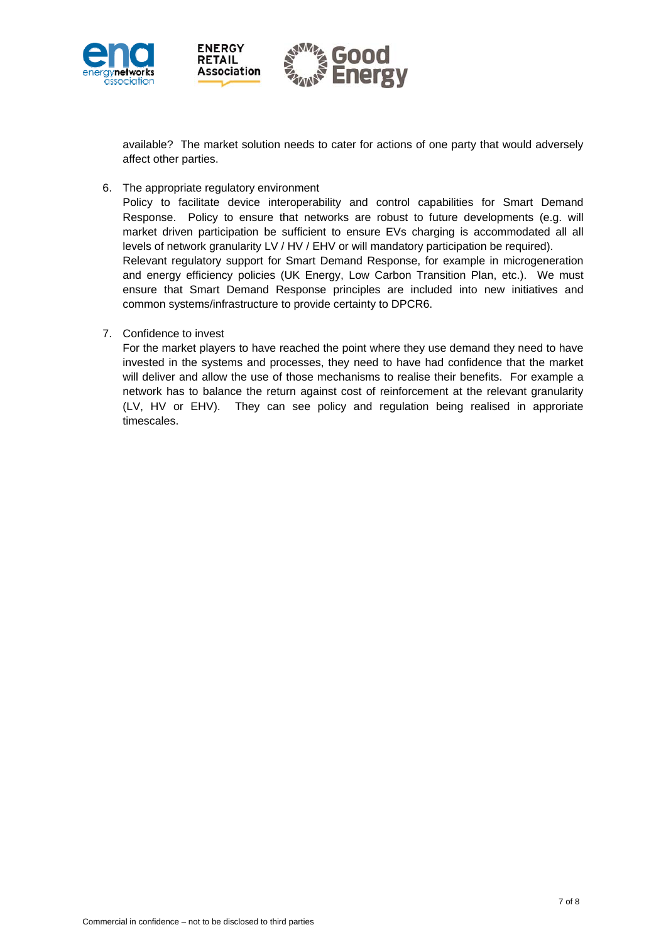

available? The market solution needs to cater for actions of one party that would adversely affect other parties.

6. The appropriate regulatory environment

Policy to facilitate device interoperability and control capabilities for Smart Demand Response. Policy to ensure that networks are robust to future developments (e.g. will market driven participation be sufficient to ensure EVs charging is accommodated all all levels of network granularity LV / HV / EHV or will mandatory participation be required). Relevant regulatory support for Smart Demand Response, for example in microgeneration and energy efficiency policies (UK Energy, Low Carbon Transition Plan, etc.). We must ensure that Smart Demand Response principles are included into new initiatives and common systems/infrastructure to provide certainty to DPCR6.

7. Confidence to invest

For the market players to have reached the point where they use demand they need to have invested in the systems and processes, they need to have had confidence that the market will deliver and allow the use of those mechanisms to realise their benefits. For example a network has to balance the return against cost of reinforcement at the relevant granularity (LV, HV or EHV). They can see policy and regulation being realised in approriate timescales.